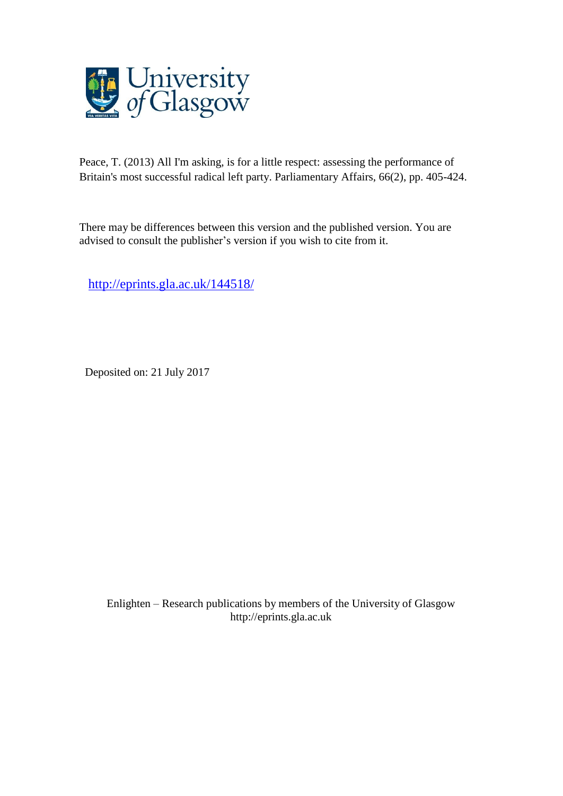

Peace, T. (2013) All I'm asking, is for a little respect: assessing the performance of Britain's most successful radical left party. Parliamentary Affairs, 66(2), pp. 405-424.

There may be differences between this version and the published version. You are advised to consult the publisher's version if you wish to cite from it.

<http://eprints.gla.ac.uk/144518/>

Deposited on: 21 July 2017

Enlighten – Research publications by members of the University of Glasgo[w](http://eprints.gla.ac.uk/) [http://eprints.gla.ac.uk](http://eprints.gla.ac.uk/)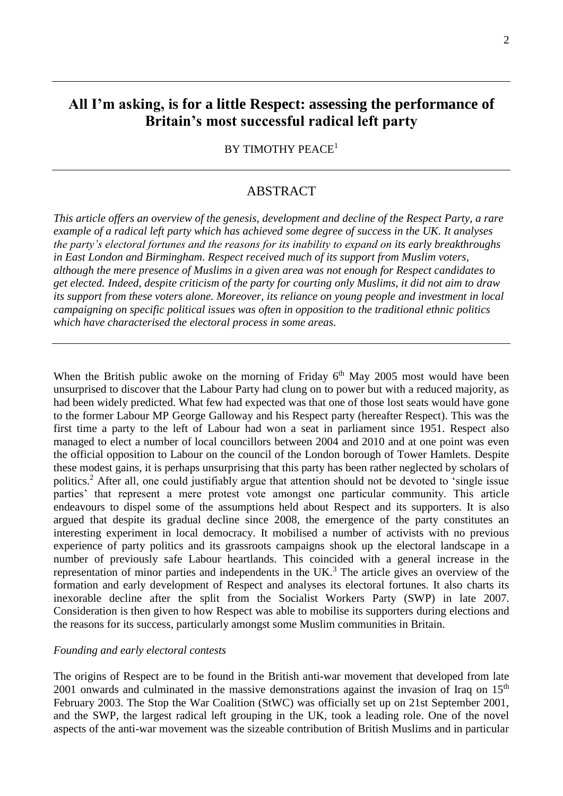# **All I'm asking, is for a little Respect: assessing the performance of Britain's most successful radical left party**

BY TIMOTHY PEACE<sup>1</sup>

# ABSTRACT

*This article offers an overview of the genesis, development and decline of the Respect Party, a rare example of a radical left party which has achieved some degree of success in the UK. It analyses the party's electoral fortunes and the reasons for its inability to expand on its early breakthroughs in East London and Birmingham. Respect received much of its support from Muslim voters, although the mere presence of Muslims in a given area was not enough for Respect candidates to get elected. Indeed, despite criticism of the party for courting only Muslims, it did not aim to draw its support from these voters alone. Moreover, its reliance on young people and investment in local campaigning on specific political issues was often in opposition to the traditional ethnic politics which have characterised the electoral process in some areas.* 

When the British public awoke on the morning of Friday  $6<sup>th</sup>$  May 2005 most would have been unsurprised to discover that the Labour Party had clung on to power but with a reduced majority, as had been widely predicted. What few had expected was that one of those lost seats would have gone to the former Labour MP George Galloway and his Respect party (hereafter Respect). This was the first time a party to the left of Labour had won a seat in parliament since 1951. Respect also managed to elect a number of local councillors between 2004 and 2010 and at one point was even the official opposition to Labour on the council of the London borough of Tower Hamlets. Despite these modest gains, it is perhaps unsurprising that this party has been rather neglected by scholars of politics.<sup>2</sup> After all, one could justifiably argue that attention should not be devoted to 'single issue parties' that represent a mere protest vote amongst one particular community. This article endeavours to dispel some of the assumptions held about Respect and its supporters. It is also argued that despite its gradual decline since 2008, the emergence of the party constitutes an interesting experiment in local democracy. It mobilised a number of activists with no previous experience of party politics and its grassroots campaigns shook up the electoral landscape in a number of previously safe Labour heartlands. This coincided with a general increase in the representation of minor parties and independents in the UK.<sup>3</sup> The article gives an overview of the formation and early development of Respect and analyses its electoral fortunes. It also charts its inexorable decline after the split from the Socialist Workers Party (SWP) in late 2007. Consideration is then given to how Respect was able to mobilise its supporters during elections and the reasons for its success, particularly amongst some Muslim communities in Britain.

# *Founding and early electoral contests*

The origins of Respect are to be found in the British anti-war movement that developed from late 2001 onwards and culminated in the massive demonstrations against the invasion of Iraq on  $15<sup>th</sup>$ February 2003. The Stop the War Coalition (StWC) was officially set up on 21st September 2001, and the SWP, the largest radical left grouping in the UK, took a leading role. One of the novel aspects of the anti-war movement was the sizeable contribution of British Muslims and in particular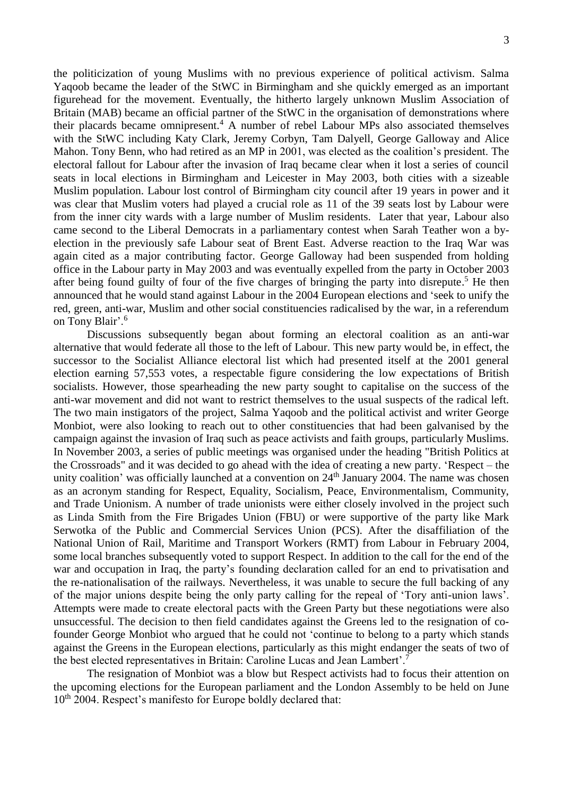the politicization of young Muslims with no previous experience of political activism. Salma Yaqoob became the leader of the StWC in Birmingham and she quickly emerged as an important figurehead for the movement. Eventually, the hitherto largely unknown Muslim Association of Britain (MAB) became an official partner of the StWC in the organisation of demonstrations where their placards became omnipresent.<sup>4</sup> A number of rebel Labour MPs also associated themselves with the StWC including Katy Clark, Jeremy Corbyn, Tam Dalyell, George Galloway and Alice Mahon. Tony Benn, who had retired as an MP in 2001, was elected as the coalition's president. The electoral fallout for Labour after the invasion of Iraq became clear when it lost a series of council seats in local elections in Birmingham and Leicester in May 2003, both cities with a sizeable Muslim population. Labour lost control of Birmingham city council after 19 years in power and it was clear that Muslim voters had played a crucial role as 11 of the 39 seats lost by Labour were from the inner city wards with a large number of Muslim residents. Later that year, Labour also came second to the Liberal Democrats in a parliamentary contest when Sarah Teather won a byelection in the previously safe Labour seat of Brent East. Adverse reaction to the Iraq War was again cited as a major contributing factor. George Galloway had been suspended from holding office in the Labour party in May 2003 and was eventually expelled from the party in October 2003 after being found guilty of four of the five charges of bringing the party into disrepute.<sup>5</sup> He then announced that he would stand against Labour in the 2004 European elections and 'seek to unify the red, green, anti-war, Muslim and other social constituencies radicalised by the war, in a referendum on Tony Blair'.<sup>6</sup>

Discussions subsequently began about forming an electoral coalition as an anti-war alternative that would federate all those to the left of Labour. This new party would be, in effect, the successor to the Socialist Alliance electoral list which had presented itself at the 2001 general election earning 57,553 votes, a respectable figure considering the low expectations of British socialists. However, those spearheading the new party sought to capitalise on the success of the anti-war movement and did not want to restrict themselves to the usual suspects of the radical left. The two main instigators of the project, Salma Yaqoob and the political activist and writer George Monbiot, were also looking to reach out to other constituencies that had been galvanised by the campaign against the invasion of Iraq such as peace activists and faith groups, particularly Muslims. In November 2003, a series of public meetings was organised under the heading "British Politics at the Crossroads" and it was decided to go ahead with the idea of creating a new party. 'Respect – the unity coalition' was officially launched at a convention on  $24<sup>th</sup>$  January 2004. The name was chosen as an acronym standing for Respect, Equality, Socialism, Peace, Environmentalism, Community, and Trade Unionism. A number of trade unionists were either closely involved in the project such as Linda Smith from the Fire Brigades Union (FBU) or were supportive of the party like Mark Serwotka of the Public and Commercial Services Union (PCS). After the disaffiliation of the National Union of Rail, Maritime and Transport Workers (RMT) from Labour in February 2004, some local branches subsequently voted to support Respect. In addition to the call for the end of the war and occupation in Iraq, the party's founding declaration called for an end to privatisation and the re-nationalisation of the railways. Nevertheless, it was unable to secure the full backing of any of the major unions despite being the only party calling for the repeal of 'Tory anti-union laws'. Attempts were made to create electoral pacts with the Green Party but these negotiations were also unsuccessful. The decision to then field candidates against the Greens led to the resignation of cofounder George Monbiot who argued that he could not 'continue to belong to a party which stands against the Greens in the European elections, particularly as this might endanger the seats of two of the best elected representatives in Britain: Caroline Lucas and Jean Lambert'.<sup>7</sup>

The resignation of Monbiot was a blow but Respect activists had to focus their attention on the upcoming elections for the European parliament and the London Assembly to be held on June 10<sup>th</sup> 2004. Respect's manifesto for Europe boldly declared that: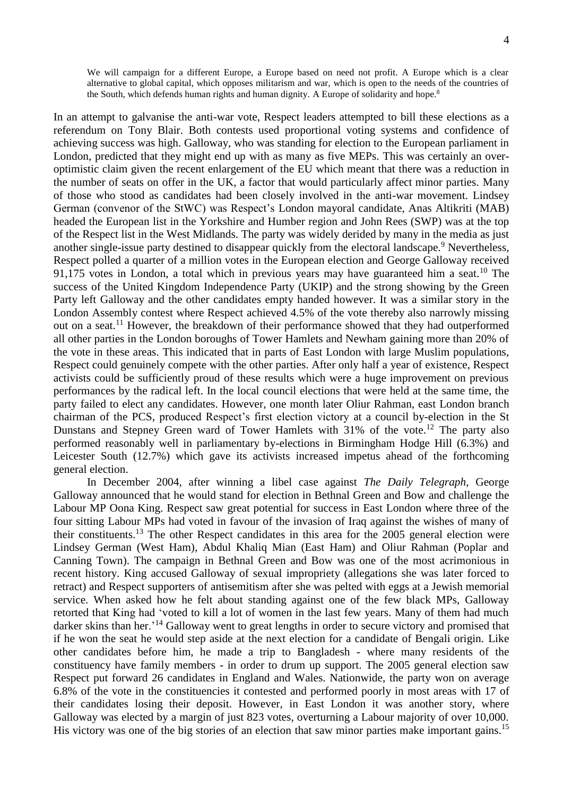We will campaign for a different Europe, a Europe based on need not profit. A Europe which is a clear alternative to global capital, which opposes militarism and war, which is open to the needs of the countries of the South, which defends human rights and human dignity. A Europe of solidarity and hope.<sup>8</sup>

In an attempt to galvanise the anti-war vote, Respect leaders attempted to bill these elections as a referendum on Tony Blair. Both contests used proportional voting systems and confidence of achieving success was high. Galloway, who was standing for election to the European parliament in London, predicted that they might end up with as many as five MEPs. This was certainly an overoptimistic claim given the recent enlargement of the EU which meant that there was a reduction in the number of seats on offer in the UK, a factor that would particularly affect minor parties. Many of those who stood as candidates had been closely involved in the anti-war movement. Lindsey German (convenor of the StWC) was Respect's London mayoral candidate, Anas Altikriti (MAB) headed the European list in the Yorkshire and Humber region and John Rees (SWP) was at the top of the Respect list in the West Midlands. The party was widely derided by many in the media as just another single-issue party destined to disappear quickly from the electoral landscape.<sup>9</sup> Nevertheless, Respect polled a quarter of a million votes in the European election and George Galloway received 91,175 votes in London, a total which in previous years may have guaranteed him a seat.<sup>10</sup> The success of the United Kingdom Independence Party (UKIP) and the strong showing by the Green Party left Galloway and the other candidates empty handed however. It was a similar story in the London Assembly contest where Respect achieved 4.5% of the vote thereby also narrowly missing out on a seat.<sup>11</sup> However, the breakdown of their performance showed that they had outperformed all other parties in the London boroughs of Tower Hamlets and Newham gaining more than 20% of the vote in these areas. This indicated that in parts of East London with large Muslim populations, Respect could genuinely compete with the other parties. After only half a year of existence, Respect activists could be sufficiently proud of these results which were a huge improvement on previous performances by the radical left. In the local council elections that were held at the same time, the party failed to elect any candidates. However, one month later Oliur Rahman, east London branch chairman of the PCS, produced Respect's first election victory at a council by-election in the St Dunstans and Stepney Green ward of Tower Hamlets with 31% of the vote.<sup>12</sup> The party also performed reasonably well in parliamentary by-elections in Birmingham Hodge Hill (6.3%) and Leicester South (12.7%) which gave its activists increased impetus ahead of the forthcoming general election.

In December 2004, after winning a libel case against *The Daily Telegraph*, George Galloway announced that he would stand for election in Bethnal Green and Bow and challenge the Labour MP Oona King. Respect saw great potential for success in East London where three of the four sitting Labour MPs had voted in favour of the invasion of Iraq against the wishes of many of their constituents.<sup>13</sup> The other Respect candidates in this area for the 2005 general election were Lindsey German (West Ham), Abdul Khaliq Mian (East Ham) and Oliur Rahman (Poplar and Canning Town). The campaign in Bethnal Green and Bow was one of the most acrimonious in recent history. King accused Galloway of sexual impropriety (allegations she was later forced to retract) and Respect supporters of antisemitism after she was pelted with eggs at a Jewish memorial service. When asked how he felt about standing against one of the few black MPs, Galloway retorted that King had 'voted to kill a lot of women in the last few years. Many of them had much darker skins than her.<sup>14</sup> Galloway went to great lengths in order to secure victory and promised that if he won the seat he would step aside at the next election for a candidate of Bengali origin. Like other candidates before him, he made a trip to Bangladesh - where many residents of the constituency have family members - in order to drum up support. The 2005 general election saw Respect put forward 26 candidates in England and Wales. Nationwide, the party won on average 6.8% of the vote in the constituencies it contested and performed poorly in most areas with 17 of their candidates losing their deposit. However, in East London it was another story, where Galloway was elected by a margin of just 823 votes, overturning a Labour majority of over 10,000. His victory was one of the big stories of an election that saw minor parties make important gains.<sup>15</sup>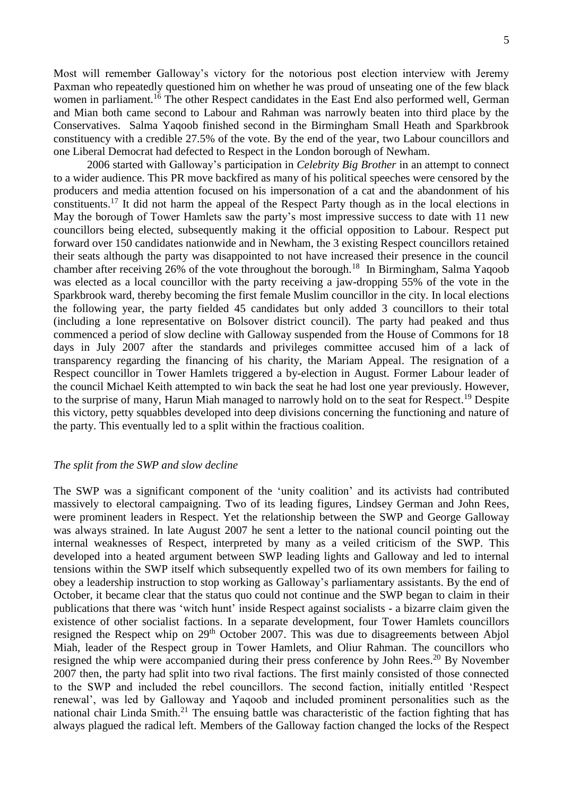Most will remember Galloway's victory for the notorious post election interview with Jeremy Paxman who repeatedly questioned him on whether he was proud of unseating one of the few black women in parliament.<sup>16</sup> The other Respect candidates in the East End also performed well, German and Mian both came second to Labour and Rahman was narrowly beaten into third place by the Conservatives. Salma Yaqoob finished second in the Birmingham Small Heath and Sparkbrook constituency with a credible 27.5% of the vote. By the end of the year, two Labour councillors and one Liberal Democrat had defected to Respect in the London borough of Newham.

2006 started with Galloway's participation in *Celebrity Big Brother* in an attempt to connect to a wider audience. This PR move backfired as many of his political speeches were censored by the producers and media attention focused on his impersonation of a cat and the abandonment of his constituents.<sup>17</sup> It did not harm the appeal of the Respect Party though as in the local elections in May the borough of Tower Hamlets saw the party's most impressive success to date with 11 new councillors being elected, subsequently making it the official opposition to Labour. Respect put forward over 150 candidates nationwide and in Newham, the 3 existing Respect councillors retained their seats although the party was disappointed to not have increased their presence in the council chamber after receiving 26% of the vote throughout the borough.<sup>18</sup> In Birmingham, Salma Yaqoob was elected as a local councillor with the party receiving a jaw-dropping 55% of the vote in the Sparkbrook ward, thereby becoming the first female Muslim councillor in the city. In local elections the following year, the party fielded 45 candidates but only added 3 councillors to their total (including a lone representative on Bolsover district council). The party had peaked and thus commenced a period of slow decline with Galloway suspended from the House of Commons for 18 days in July 2007 after the standards and privileges committee accused him of a lack of transparency regarding the financing of his charity, the Mariam Appeal. The resignation of a Respect councillor in Tower Hamlets triggered a by-election in August. Former Labour leader of the council Michael Keith attempted to win back the seat he had lost one year previously. However, to the surprise of many, Harun Miah managed to narrowly hold on to the seat for Respect.<sup>19</sup> Despite this victory, petty squabbles developed into deep divisions concerning the functioning and nature of the party. This eventually led to a split within the fractious coalition.

## *The split from the SWP and slow decline*

The SWP was a significant component of the 'unity coalition' and its activists had contributed massively to electoral campaigning. Two of its leading figures, Lindsey German and John Rees, were prominent leaders in Respect. Yet the relationship between the SWP and George Galloway was always strained. In late August 2007 he sent a letter to the national council pointing out the internal weaknesses of Respect, interpreted by many as a veiled criticism of the SWP. This developed into a heated argument between SWP leading lights and Galloway and led to internal tensions within the SWP itself which subsequently expelled two of its own members for failing to obey a leadership instruction to stop working as Galloway's parliamentary assistants. By the end of October, it became clear that the status quo could not continue and the SWP began to claim in their publications that there was 'witch hunt' inside Respect against socialists - a bizarre claim given the existence of other socialist factions. In a separate development, four Tower Hamlets councillors resigned the Respect whip on 29<sup>th</sup> October 2007. This was due to disagreements between Abjol Miah, leader of the Respect group in Tower Hamlets, and Oliur Rahman. The councillors who resigned the whip were accompanied during their press conference by John Rees.<sup>20</sup> By November 2007 then, the party had split into two rival factions. The first mainly consisted of those connected to the SWP and included the rebel councillors. The second faction, initially entitled 'Respect renewal', was led by Galloway and Yaqoob and included prominent personalities such as the national chair Linda Smith.<sup>21</sup> The ensuing battle was characteristic of the faction fighting that has always plagued the radical left. Members of the Galloway faction changed the locks of the Respect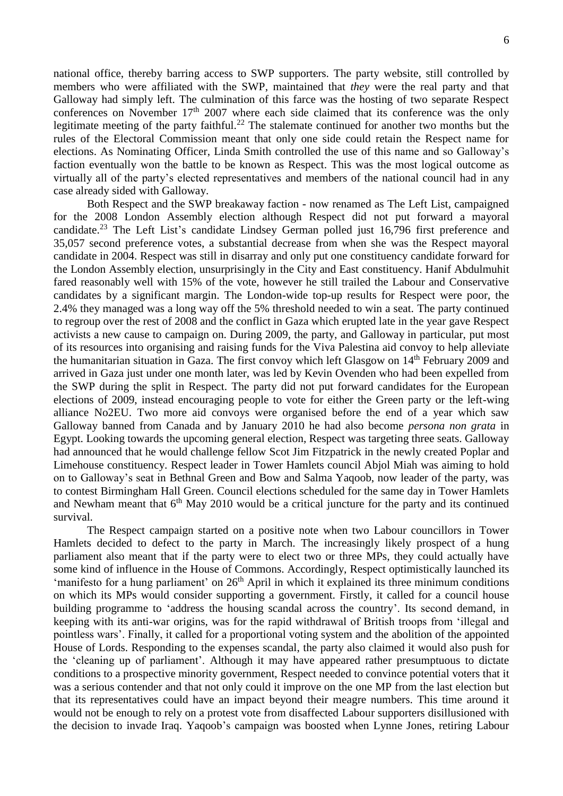national office, thereby barring access to SWP supporters. The party website, still controlled by members who were affiliated with the SWP, maintained that *they* were the real party and that Galloway had simply left. The culmination of this farce was the hosting of two separate Respect conferences on November  $17<sup>th</sup> 2007$  where each side claimed that its conference was the only legitimate meeting of the party faithful.<sup>22</sup> The stalemate continued for another two months but the rules of the Electoral Commission meant that only one side could retain the Respect name for elections. As Nominating Officer, Linda Smith controlled the use of this name and so Galloway's faction eventually won the battle to be known as Respect. This was the most logical outcome as virtually all of the party's elected representatives and members of the national council had in any case already sided with Galloway.

Both Respect and the SWP breakaway faction - now renamed as The Left List, campaigned for the 2008 London Assembly election although Respect did not put forward a mayoral candidate.<sup>23</sup> The Left List's candidate Lindsey German polled just 16,796 first preference and 35,057 second preference votes, a substantial decrease from when she was the Respect mayoral candidate in 2004. Respect was still in disarray and only put one constituency candidate forward for the London Assembly election, unsurprisingly in the City and East constituency. Hanif Abdulmuhit fared reasonably well with 15% of the vote, however he still trailed the Labour and Conservative candidates by a significant margin. The London-wide top-up results for Respect were poor, the 2.4% they managed was a long way off the 5% threshold needed to win a seat. The party continued to regroup over the rest of 2008 and the conflict in Gaza which erupted late in the year gave Respect activists a new cause to campaign on. During 2009, the party, and Galloway in particular, put most of its resources into organising and raising funds for the Viva Palestina aid convoy to help alleviate the humanitarian situation in Gaza. The first convoy which left Glasgow on 14<sup>th</sup> February 2009 and arrived in Gaza just under one month later, was led by Kevin Ovenden who had been expelled from the SWP during the split in Respect. The party did not put forward candidates for the European elections of 2009, instead encouraging people to vote for either the Green party or the left-wing alliance No2EU. Two more aid convoys were organised before the end of a year which saw Galloway banned from Canada and by January 2010 he had also become *persona non grata* in Egypt. Looking towards the upcoming general election, Respect was targeting three seats. Galloway had announced that he would challenge fellow Scot Jim Fitzpatrick in the newly created Poplar and Limehouse constituency. Respect leader in Tower Hamlets council Abjol Miah was aiming to hold on to Galloway's seat in Bethnal Green and Bow and Salma Yaqoob, now leader of the party, was to contest Birmingham Hall Green. Council elections scheduled for the same day in Tower Hamlets and Newham meant that  $6<sup>th</sup>$  May 2010 would be a critical juncture for the party and its continued survival.

The Respect campaign started on a positive note when two Labour councillors in Tower Hamlets decided to defect to the party in March. The increasingly likely prospect of a hung parliament also meant that if the party were to elect two or three MPs, they could actually have some kind of influence in the House of Commons. Accordingly, Respect optimistically launched its 'manifesto for a hung parliament' on  $26<sup>th</sup>$  April in which it explained its three minimum conditions on which its MPs would consider supporting a government. Firstly, it called for a council house building programme to 'address the housing scandal across the country'. Its second demand, in keeping with its anti-war origins, was for the rapid withdrawal of British troops from 'illegal and pointless wars'. Finally, it called for a proportional voting system and the abolition of the appointed House of Lords. Responding to the expenses scandal, the party also claimed it would also push for the 'cleaning up of parliament'. Although it may have appeared rather presumptuous to dictate conditions to a prospective minority government, Respect needed to convince potential voters that it was a serious contender and that not only could it improve on the one MP from the last election but that its representatives could have an impact beyond their meagre numbers. This time around it would not be enough to rely on a protest vote from disaffected Labour supporters disillusioned with the decision to invade Iraq. Yaqoob's campaign was boosted when Lynne Jones, retiring Labour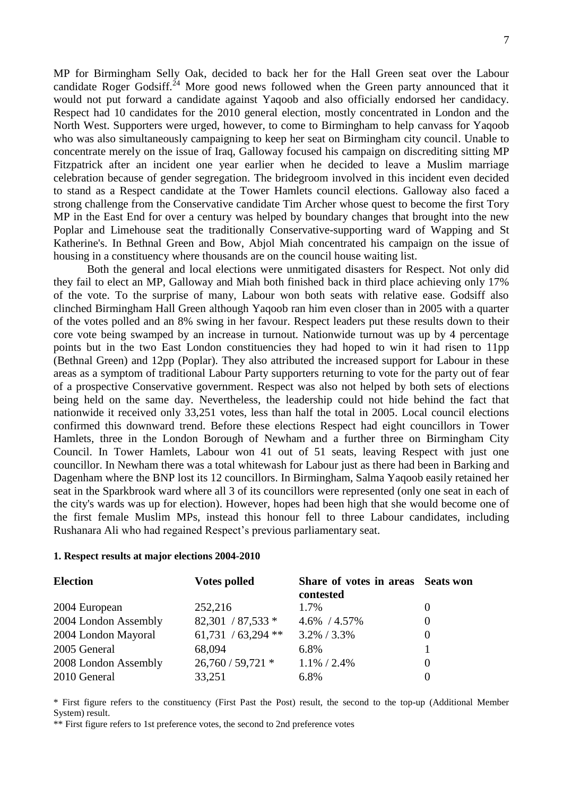MP for Birmingham Selly Oak, decided to back her for the Hall Green seat over the Labour candidate Roger Godsiff.<sup>24</sup> More good news followed when the Green party announced that it would not put forward a candidate against Yaqoob and also officially endorsed her candidacy. Respect had 10 candidates for the 2010 general election, mostly concentrated in London and the North West. Supporters were urged, however, to come to Birmingham to help canvass for Yaqoob who was also simultaneously campaigning to keep her seat on Birmingham city council. Unable to concentrate merely on the issue of Iraq, Galloway focused his campaign on discrediting sitting MP Fitzpatrick after an incident one year earlier when he decided to leave a Muslim marriage celebration because of gender segregation. The bridegroom involved in this incident even decided to stand as a Respect candidate at the Tower Hamlets council elections. Galloway also faced a strong challenge from the Conservative candidate Tim Archer whose quest to become the first Tory MP in the East End for over a century was helped by boundary changes that brought into the new Poplar and Limehouse seat the traditionally Conservative-supporting ward of Wapping and St Katherine's. In Bethnal Green and Bow, Abjol Miah concentrated his campaign on the issue of housing in a constituency where thousands are on the council house waiting list.

Both the general and local elections were unmitigated disasters for Respect. Not only did they fail to elect an MP, Galloway and Miah both finished back in third place achieving only 17% of the vote. To the surprise of many, Labour won both seats with relative ease. Godsiff also clinched Birmingham Hall Green although Yaqoob ran him even closer than in 2005 with a quarter of the votes polled and an 8% swing in her favour. Respect leaders put these results down to their core vote being swamped by an increase in turnout. Nationwide turnout was up by 4 percentage points but in the two East London constituencies they had hoped to win it had risen to 11pp (Bethnal Green) and 12pp (Poplar). They also attributed the increased support for Labour in these areas as a symptom of traditional Labour Party supporters returning to vote for the party out of fear of a prospective Conservative government. Respect was also not helped by both sets of elections being held on the same day. Nevertheless, the leadership could not hide behind the fact that nationwide it received only 33,251 votes, less than half the total in 2005. Local council elections confirmed this downward trend. Before these elections Respect had eight councillors in Tower Hamlets, three in the London Borough of Newham and a further three on Birmingham City Council. In Tower Hamlets, Labour won 41 out of 51 seats, leaving Respect with just one councillor. In Newham there was a total whitewash for Labour just as there had been in Barking and Dagenham where the BNP lost its 12 councillors. In Birmingham, Salma Yaqoob easily retained her seat in the Sparkbrook ward where all 3 of its councillors were represented (only one seat in each of the city's wards was up for election). However, hopes had been high that she would become one of the first female Muslim MPs, instead this honour fell to three Labour candidates, including Rushanara Ali who had regained Respect's previous parliamentary seat.

#### **1. Respect results at major elections 2004-2010**

| <b>Election</b>      | <b>Votes polled</b>  | Share of votes in areas Seats won<br>contested |          |
|----------------------|----------------------|------------------------------------------------|----------|
| 2004 European        | 252,216              | 1.7%                                           | $\theta$ |
| 2004 London Assembly | 82,301 / 87,533 $*$  | $4.6\%$ / $4.57\%$                             | $\Omega$ |
| 2004 London Mayoral  | 61,731 / 63,294 $**$ | $3.2\% / 3.3\%$                                | $\Omega$ |
| 2005 General         | 68,094               | 6.8%                                           |          |
| 2008 London Assembly | $26,760/59,721*$     | $1.1\% / 2.4\%$                                | $\theta$ |
| 2010 General         | 33,251               | 6.8%                                           | $\theta$ |

\* First figure refers to the constituency (First Past the Post) result, the second to the top-up (Additional Member System) result.

\*\* First figure refers to 1st preference votes, the second to 2nd preference votes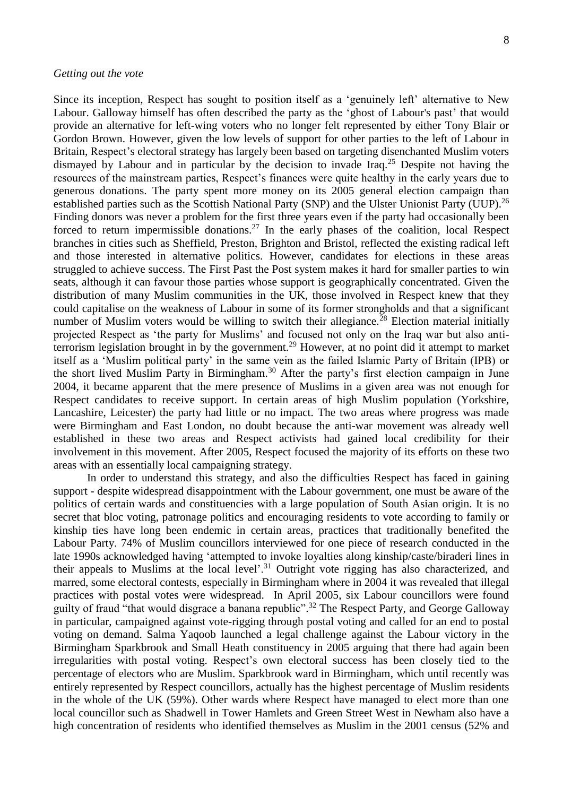#### *Getting out the vote*

Since its inception, Respect has sought to position itself as a 'genuinely left' alternative to New Labour. Galloway himself has often described the party as the 'ghost of Labour's past' that would provide an alternative for left-wing voters who no longer felt represented by either Tony Blair or Gordon Brown. However, given the low levels of support for other parties to the left of Labour in Britain, Respect's electoral strategy has largely been based on targeting disenchanted Muslim voters dismayed by Labour and in particular by the decision to invade Iraq.<sup>25</sup> Despite not having the resources of the mainstream parties, Respect's finances were quite healthy in the early years due to generous donations. The party spent more money on its 2005 general election campaign than established parties such as the Scottish National Party (SNP) and the Ulster Unionist Party (UUP).<sup>26</sup> Finding donors was never a problem for the first three years even if the party had occasionally been forced to return impermissible donations.<sup>27</sup> In the early phases of the coalition, local Respect branches in cities such as Sheffield, Preston, Brighton and Bristol, reflected the existing radical left and those interested in alternative politics. However, candidates for elections in these areas struggled to achieve success. The First Past the Post system makes it hard for smaller parties to win seats, although it can favour those parties whose support is geographically concentrated. Given the distribution of many Muslim communities in the UK, those involved in Respect knew that they could capitalise on the weakness of Labour in some of its former strongholds and that a significant number of Muslim voters would be willing to switch their allegiance.<sup>28</sup> Election material initially projected Respect as 'the party for Muslims' and focused not only on the Iraq war but also antiterrorism legislation brought in by the government.<sup>29</sup> However, at no point did it attempt to market itself as a 'Muslim political party' in the same vein as the failed Islamic Party of Britain (IPB) or the short lived Muslim Party in Birmingham.<sup>30</sup> After the party's first election campaign in June 2004, it became apparent that the mere presence of Muslims in a given area was not enough for Respect candidates to receive support. In certain areas of high Muslim population (Yorkshire, Lancashire, Leicester) the party had little or no impact. The two areas where progress was made were Birmingham and East London, no doubt because the anti-war movement was already well established in these two areas and Respect activists had gained local credibility for their involvement in this movement. After 2005, Respect focused the majority of its efforts on these two areas with an essentially local campaigning strategy.

In order to understand this strategy, and also the difficulties Respect has faced in gaining support - despite widespread disappointment with the Labour government, one must be aware of the politics of certain wards and constituencies with a large population of South Asian origin. It is no secret that bloc voting, patronage politics and encouraging residents to vote according to family or kinship ties have long been endemic in certain areas, practices that traditionally benefited the Labour Party. 74% of Muslim councillors interviewed for one piece of research conducted in the late 1990s acknowledged having 'attempted to invoke loyalties along kinship/caste/biraderi lines in their appeals to Muslims at the local level'.<sup>31</sup> Outright vote rigging has also characterized, and marred, some electoral contests, especially in Birmingham where in 2004 it was revealed that illegal practices with postal votes were widespread. In April 2005, six Labour councillors were found guilty of fraud "that would disgrace a banana republic".<sup>32</sup> The Respect Party, and George Galloway in particular, campaigned against vote-rigging through postal voting and called for an end to postal voting on demand. Salma Yaqoob launched a legal challenge against the Labour victory in the Birmingham Sparkbrook and Small Heath constituency in 2005 arguing that there had again been irregularities with postal voting. Respect's own electoral success has been closely tied to the percentage of electors who are Muslim. Sparkbrook ward in Birmingham, which until recently was entirely represented by Respect councillors, actually has the highest percentage of Muslim residents in the whole of the UK (59%). Other wards where Respect have managed to elect more than one local councillor such as Shadwell in Tower Hamlets and Green Street West in Newham also have a high concentration of residents who identified themselves as Muslim in the 2001 census (52% and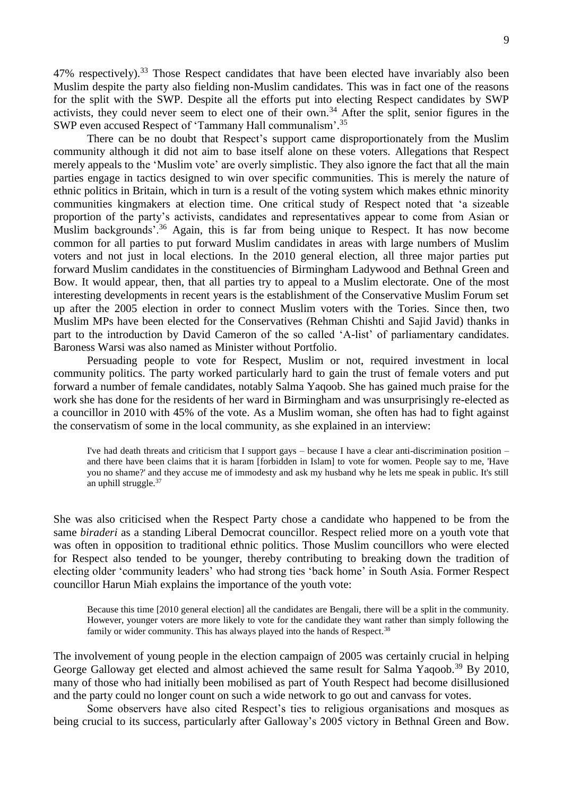47% respectively).<sup>33</sup> Those Respect candidates that have been elected have invariably also been Muslim despite the party also fielding non-Muslim candidates. This was in fact one of the reasons for the split with the SWP. Despite all the efforts put into electing Respect candidates by SWP activists, they could never seem to elect one of their own.<sup>34</sup> After the split, senior figures in the SWP even accused Respect of 'Tammany Hall communalism'.<sup>35</sup>

There can be no doubt that Respect's support came disproportionately from the Muslim community although it did not aim to base itself alone on these voters. Allegations that Respect merely appeals to the 'Muslim vote' are overly simplistic. They also ignore the fact that all the main parties engage in tactics designed to win over specific communities. This is merely the nature of ethnic politics in Britain, which in turn is a result of the voting system which makes ethnic minority communities kingmakers at election time. One critical study of Respect noted that 'a sizeable proportion of the party's activists, candidates and representatives appear to come from Asian or Muslim backgrounds<sup>36</sup> Again, this is far from being unique to Respect. It has now become common for all parties to put forward Muslim candidates in areas with large numbers of Muslim voters and not just in local elections. In the 2010 general election, all three major parties put forward Muslim candidates in the constituencies of Birmingham Ladywood and Bethnal Green and Bow. It would appear, then, that all parties try to appeal to a Muslim electorate. One of the most interesting developments in recent years is the establishment of the Conservative Muslim Forum set up after the 2005 election in order to connect Muslim voters with the Tories. Since then, two Muslim MPs have been elected for the Conservatives (Rehman Chishti and Sajid Javid) thanks in part to the introduction by David Cameron of the so called 'A-list' of parliamentary candidates. Baroness Warsi was also named as Minister without Portfolio.

Persuading people to vote for Respect, Muslim or not, required investment in local community politics. The party worked particularly hard to gain the trust of female voters and put forward a number of female candidates, notably Salma Yaqoob. She has gained much praise for the work she has done for the residents of her ward in Birmingham and was unsurprisingly re-elected as a councillor in 2010 with 45% of the vote. As a Muslim woman, she often has had to fight against the conservatism of some in the local community, as she explained in an interview:

I've had death threats and criticism that I support gays – because I have a clear anti-discrimination position – and there have been claims that it is haram [forbidden in Islam] to vote for women. People say to me, 'Have you no shame?' and they accuse me of immodesty and ask my husband why he lets me speak in public. It's still an uphill struggle.<sup>37</sup>

She was also criticised when the Respect Party chose a candidate who happened to be from the same *biraderi* as a standing Liberal Democrat councillor. Respect relied more on a youth vote that was often in opposition to traditional ethnic politics. Those Muslim councillors who were elected for Respect also tended to be younger, thereby contributing to breaking down the tradition of electing older 'community leaders' who had strong ties 'back home' in South Asia. Former Respect councillor Harun Miah explains the importance of the youth vote:

Because this time [2010 general election] all the candidates are Bengali, there will be a split in the community. However, younger voters are more likely to vote for the candidate they want rather than simply following the family or wider community. This has always played into the hands of Respect.<sup>38</sup>

The involvement of young people in the election campaign of 2005 was certainly crucial in helping George Galloway get elected and almost achieved the same result for Salma Yaqoob.<sup>39</sup> By 2010, many of those who had initially been mobilised as part of Youth Respect had become disillusioned and the party could no longer count on such a wide network to go out and canvass for votes.

Some observers have also cited Respect's ties to religious organisations and mosques as being crucial to its success, particularly after Galloway's 2005 victory in Bethnal Green and Bow.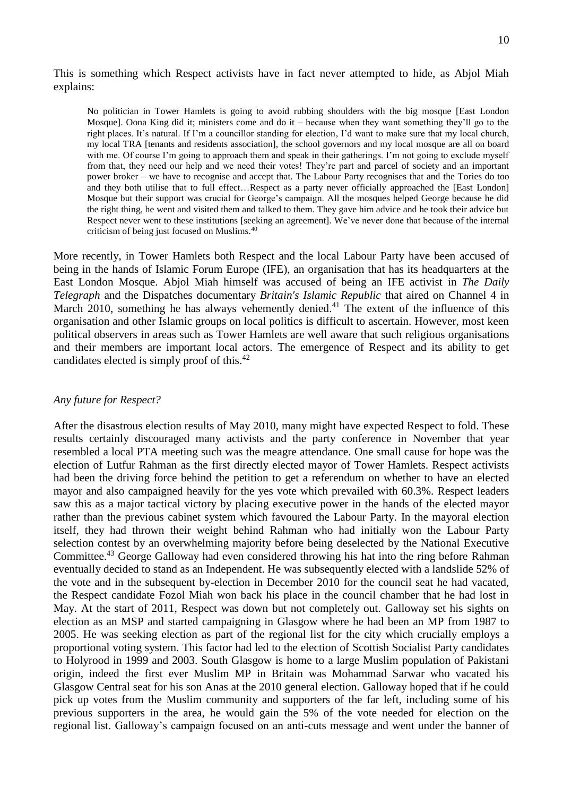## This is something which Respect activists have in fact never attempted to hide, as Abjol Miah explains:

No politician in Tower Hamlets is going to avoid rubbing shoulders with the big mosque [East London Mosque]. Oona King did it; ministers come and do it – because when they want something they'll go to the right places. It's natural. If I'm a councillor standing for election, I'd want to make sure that my local church, my local TRA [tenants and residents association], the school governors and my local mosque are all on board with me. Of course I'm going to approach them and speak in their gatherings. I'm not going to exclude myself from that, they need our help and we need their votes! They're part and parcel of society and an important power broker – we have to recognise and accept that. The Labour Party recognises that and the Tories do too and they both utilise that to full effect…Respect as a party never officially approached the [East London] Mosque but their support was crucial for George's campaign. All the mosques helped George because he did the right thing, he went and visited them and talked to them. They gave him advice and he took their advice but Respect never went to these institutions [seeking an agreement]. We've never done that because of the internal criticism of being just focused on Muslims. 40

More recently, in Tower Hamlets both Respect and the local Labour Party have been accused of being in the hands of Islamic Forum Europe (IFE), an organisation that has its headquarters at the East London Mosque. Abjol Miah himself was accused of being an IFE activist in *The Daily Telegraph* and the Dispatches documentary *Britain's Islamic Republic* that aired on Channel 4 in March 2010, something he has always vehemently denied.<sup>41</sup> The extent of the influence of this organisation and other Islamic groups on local politics is difficult to ascertain. However, most keen political observers in areas such as Tower Hamlets are well aware that such religious organisations and their members are important local actors. The emergence of Respect and its ability to get candidates elected is simply proof of this.<sup>42</sup>

# *Any future for Respect?*

After the disastrous election results of May 2010, many might have expected Respect to fold. These results certainly discouraged many activists and the party conference in November that year resembled a local PTA meeting such was the meagre attendance. One small cause for hope was the election of Lutfur Rahman as the first directly elected mayor of Tower Hamlets. Respect activists had been the driving force behind the petition to get a referendum on whether to have an elected mayor and also campaigned heavily for the yes vote which prevailed with 60.3%. Respect leaders saw this as a major tactical victory by placing executive power in the hands of the elected mayor rather than the previous cabinet system which favoured the Labour Party. In the mayoral election itself, they had thrown their weight behind Rahman who had initially won the Labour Party selection contest by an overwhelming majority before being deselected by the National Executive Committee.<sup>43</sup> George Galloway had even considered throwing his hat into the ring before Rahman eventually decided to stand as an Independent. He was subsequently elected with a landslide 52% of the vote and in the subsequent by-election in December 2010 for the council seat he had vacated, the Respect candidate Fozol Miah won back his place in the council chamber that he had lost in May. At the start of 2011, Respect was down but not completely out. Galloway set his sights on election as an MSP and started campaigning in Glasgow where he had been an MP from 1987 to 2005. He was seeking election as part of the regional list for the city which crucially employs a proportional voting system. This factor had led to the election of Scottish Socialist Party candidates to Holyrood in 1999 and 2003. South Glasgow is home to a large Muslim population of Pakistani origin, indeed the first ever Muslim MP in Britain was Mohammad Sarwar who vacated his Glasgow Central seat for his son Anas at the 2010 general election. Galloway hoped that if he could pick up votes from the Muslim community and supporters of the far left, including some of his previous supporters in the area, he would gain the 5% of the vote needed for election on the regional list. Galloway's campaign focused on an anti-cuts message and went under the banner of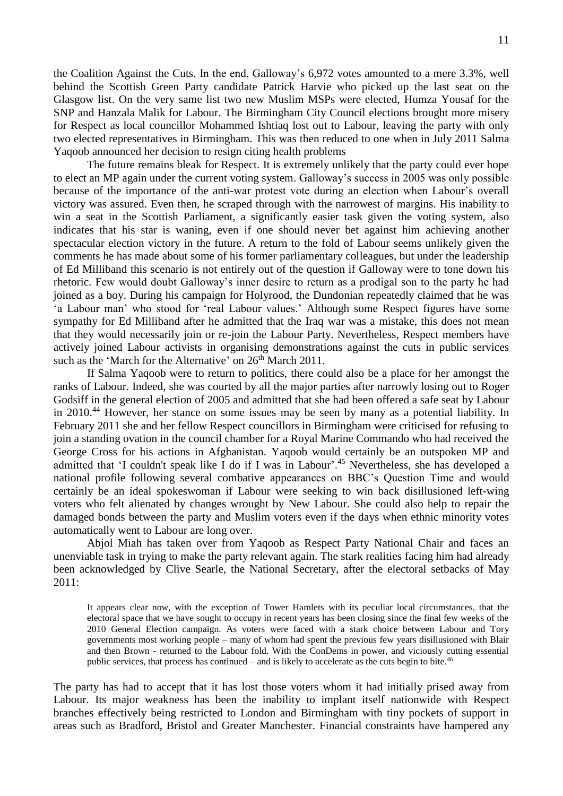the Coalition Against the Cuts. In the end, Galloway's 6,972 votes amounted to a mere 3.3%, well behind the Scottish Green Party candidate Patrick Harvie who picked up the last seat on the Glasgow list. On the very same list two new Muslim MSPs were elected, Humza Yousaf for the SNP and Hanzala Malik for Labour. The Birmingham City Council elections brought more misery for Respect as local councillor Mohammed Ishtiaq lost out to Labour, leaving the party with only two elected representatives in Birmingham. This was then reduced to one when in July 2011 Salma Yaqoob announced her decision to resign citing health problems

The future remains bleak for Respect. It is extremely unlikely that the party could ever hope to elect an MP again under the current voting system. Galloway's success in 2005 was only possible because of the importance of the anti-war protest vote during an election when Labour's overall victory was assured. Even then, he scraped through with the narrowest of margins. His inability to win a seat in the Scottish Parliament, a significantly easier task given the voting system, also indicates that his star is waning, even if one should never bet against him achieving another spectacular election victory in the future. A return to the fold of Labour seems unlikely given the comments he has made about some of his former parliamentary colleagues, but under the leadership of Ed Milliband this scenario is not entirely out of the question if Galloway were to tone down his rhetoric. Few would doubt Galloway's inner desire to return as a prodigal son to the party he had joined as a boy. During his campaign for Holyrood, the Dundonian repeatedly claimed that he was 'a Labour man' who stood for 'real Labour values.' Although some Respect figures have some sympathy for Ed Milliband after he admitted that the Iraq war was a mistake, this does not mean that they would necessarily join or re-join the Labour Party. Nevertheless, Respect members have actively joined Labour activists in organising demonstrations against the cuts in public services such as the 'March for the Alternative' on 26<sup>th</sup> March 2011.

If Salma Yaqoob were to return to politics, there could also be a place for her amongst the ranks of Labour. Indeed, she was courted by all the major parties after narrowly losing out to Roger Godsiff in the general election of 2005 and admitted that she had been offered a safe seat by Labour in 2010.<sup>44</sup> However, her stance on some issues may be seen by many as a potential liability. In February 2011 she and her fellow Respect councillors in Birmingham were criticised for refusing to join a standing ovation in the council chamber for a Royal Marine Commando who had received the George Cross for his actions in Afghanistan. Yaqoob would certainly be an outspoken MP and admitted that 'I couldn't speak like I do if I was in Labour'.<sup>45</sup> Nevertheless, she has developed a national profile following several combative appearances on BBC's Question Time and would certainly be an ideal spokeswoman if Labour were seeking to win back disillusioned left-wing voters who felt alienated by changes wrought by New Labour. She could also help to repair the damaged bonds between the party and Muslim voters even if the days when ethnic minority votes automatically went to Labour are long over.

Abjol Miah has taken over from Yaqoob as Respect Party National Chair and faces an unenviable task in trying to make the party relevant again. The stark realities facing him had already been acknowledged by Clive Searle, the National Secretary, after the electoral setbacks of May 2011:

It appears clear now, with the exception of Tower Hamlets with its peculiar local circumstances, that the electoral space that we have sought to occupy in recent years has been closing since the final few weeks of the 2010 General Election campaign. As voters were faced with a stark choice between Labour and Tory governments most working people – many of whom had spent the previous few years disillusioned with Blair and then Brown - returned to the Labour fold. With the ConDems in power, and viciously cutting essential public services, that process has continued – and is likely to accelerate as the cuts begin to bite.<sup>46</sup>

The party has had to accept that it has lost those voters whom it had initially prised away from Labour. Its major weakness has been the inability to implant itself nationwide with Respect branches effectively being restricted to London and Birmingham with tiny pockets of support in areas such as Bradford, Bristol and Greater Manchester. Financial constraints have hampered any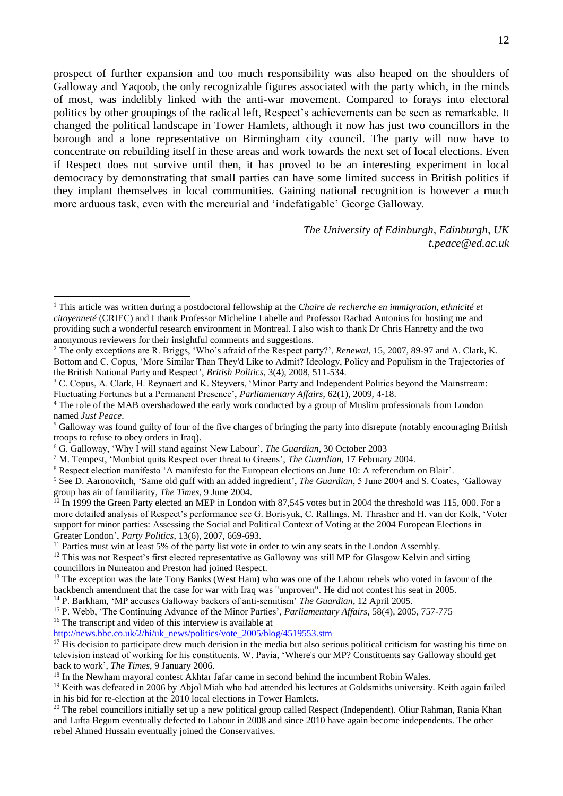prospect of further expansion and too much responsibility was also heaped on the shoulders of Galloway and Yaqoob, the only recognizable figures associated with the party which, in the minds of most, was indelibly linked with the anti-war movement. Compared to forays into electoral politics by other groupings of the radical left, Respect's achievements can be seen as remarkable. It changed the political landscape in Tower Hamlets, although it now has just two councillors in the borough and a lone representative on Birmingham city council. The party will now have to concentrate on rebuilding itself in these areas and work towards the next set of local elections. Even if Respect does not survive until then, it has proved to be an interesting experiment in local democracy by demonstrating that small parties can have some limited success in British politics if they implant themselves in local communities. Gaining national recognition is however a much more arduous task, even with the mercurial and 'indefatigable' George Galloway.

> *The University of Edinburgh, Edinburgh, UK t.peace@ed.ac.uk*

<sup>16</sup> The transcript and video of this interview is available at

<u>.</u>

[http://news.bbc.co.uk/2/hi/uk\\_news/politics/vote\\_2005/blog/4519553.stm](http://news.bbc.co.uk/2/hi/uk_news/politics/vote_2005/blog/4519553.stm)

<sup>1</sup> This article was written during a postdoctoral fellowship at the *Chaire de recherche en immigration, ethnicité et citoyenneté* (CRIEC) and I thank Professor Micheline Labelle and Professor Rachad Antonius for hosting me and providing such a wonderful research environment in Montreal. I also wish to thank Dr Chris Hanretty and the two anonymous reviewers for their insightful comments and suggestions.

<sup>2</sup> The only exceptions are R. Briggs, 'Who's afraid of the Respect party?', *Renewal*, 15, 2007, 89-97 and A. Clark, K. Bottom and C. Copus, 'More Similar Than They'd Like to Admit? Ideology, Policy and Populism in the Trajectories of the British National Party and Respect', *British Politics*, 3(4), 2008, 511-534.

<sup>3</sup> C. Copus, A. Clark, H. Reynaert and K. Steyvers, 'Minor Party and Independent Politics beyond the Mainstream: Fluctuating Fortunes but a Permanent Presence', *Parliamentary Affairs*, 62(1), 2009, 4-18.

<sup>&</sup>lt;sup>4</sup> The role of the MAB overshadowed the early work conducted by a group of Muslim professionals from London named *Just Peace*.

<sup>5</sup> Galloway was found guilty of four of the five charges of bringing the party into disrepute (notably encouraging British troops to refuse to obey orders in Iraq).

<sup>6</sup> G. Galloway, 'Why I will stand against New Labour', *The Guardian*, 30 October 2003

<sup>7</sup> M. Tempest, 'Monbiot quits Respect over threat to Greens', *The Guardian*, 17 February 2004.

<sup>8</sup> Respect election manifesto 'A manifesto for the European elections on June 10: A referendum on Blair'.

<sup>9</sup> See D. Aaronovitch, 'Same old guff with an added ingredient', *The Guardian*, 5 June 2004 and S. Coates, 'Galloway group has air of familiarity, *The Times*, 9 June 2004.

<sup>&</sup>lt;sup>10</sup> In 1999 the Green Party elected an MEP in London with 87,545 votes but in 2004 the threshold was 115, 000. For a more detailed analysis of Respect's performance see G. Borisyuk, C. Rallings, M. Thrasher and H. van der Kolk, 'Voter support for minor parties: Assessing the Social and Political Context of Voting at the 2004 European Elections in Greater London', *Party Politics*, 13(6), 2007, 669-693.

 $11$  Parties must win at least 5% of the party list vote in order to win any seats in the London Assembly.

<sup>&</sup>lt;sup>12</sup> This was not Respect's first elected representative as Galloway was still MP for Glasgow Kelvin and sitting councillors in Nuneaton and Preston had joined Respect.

<sup>&</sup>lt;sup>13</sup> The exception was the late Tony Banks (West Ham) who was one of the Labour rebels who voted in favour of the backbench amendment that the case for war with Iraq was "unproven". He did not contest his seat in 2005.

<sup>14</sup> P. Barkham, 'MP accuses Galloway backers of anti-semitism' *The Guardian*, 12 April 2005.

<sup>15</sup> P. Webb, 'The Continuing Advance of the Minor Parties', *Parliamentary Affairs*, 58(4), 2005, 757-775

 $17$  His decision to participate drew much derision in the media but also serious political criticism for wasting his time on television instead of working for his constituents. W. Pavia, 'Where's our MP? Constituents say Galloway should get back to work', *The Times*, 9 January 2006.

<sup>&</sup>lt;sup>18</sup> In the Newham mayoral contest Akhtar Jafar came in second behind the incumbent Robin Wales.

<sup>&</sup>lt;sup>19</sup> Keith was defeated in 2006 by Abjol Miah who had attended his lectures at Goldsmiths university. Keith again failed in his bid for re-election at the 2010 local elections in Tower Hamlets.

<sup>&</sup>lt;sup>20</sup> The rebel councillors initially set up a new political group called Respect (Independent). Oliur Rahman, Rania Khan and Lufta Begum eventually defected to Labour in 2008 and since 2010 have again become independents. The other rebel Ahmed Hussain eventually joined the Conservatives.